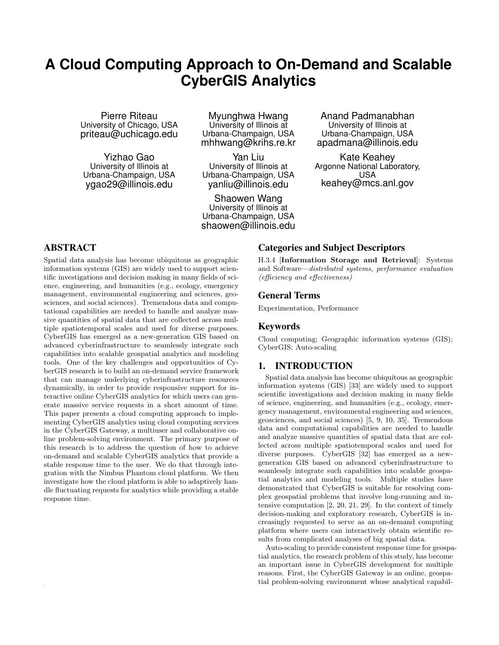# **A Cloud Computing Approach to On-Demand and Scalable CyberGIS Analytics**

Pierre Riteau University of Chicago, USA priteau@uchicago.edu

Yizhao Gao University of Illinois at Urbana-Champaign, USA ygao29@illinois.edu

Myunghwa Hwang University of Illinois at Urbana-Champaign, USA mhhwang@krihs.re.kr

Yan Liu University of Illinois at Urbana-Champaign, USA yanliu@illinois.edu

Shaowen Wang University of Illinois at Urbana-Champaign, USA shaowen@illinois.edu

# ABSTRACT

.

Spatial data analysis has become ubiquitous as geographic information systems (GIS) are widely used to support scientific investigations and decision making in many fields of science, engineering, and humanities (e.g., ecology, emergency management, environmental engineering and sciences, geosciences, and social sciences). Tremendous data and computational capabilities are needed to handle and analyze massive quantities of spatial data that are collected across multiple spatiotemporal scales and used for diverse purposes. CyberGIS has emerged as a new-generation GIS based on advanced cyberinfrastructure to seamlessly integrate such capabilities into scalable geospatial analytics and modeling tools. One of the key challenges and opportunities of CyberGIS research is to build an on-demand service framework that can manage underlying cyberinfrastructure resources dynamically, in order to provide responsive support for interactive online CyberGIS analytics for which users can generate massive service requests in a short amount of time. This paper presents a cloud computing approach to implementing CyberGIS analytics using cloud computing services in the CyberGIS Gateway, a multiuser and collaborative online problem-solving environment. The primary purpose of this research is to address the question of how to achieve on-demand and scalable CyberGIS analytics that provide a stable response time to the user. We do that through integration with the Nimbus Phantom cloud platform. We then investigate how the cloud platform is able to adaptively handle fluctuating requests for analytics while providing a stable response time.

## Categories and Subject Descriptors

H.3.4 [Information Storage and Retrieval]: Systems and Software—distributed systems, performance evaluation (efficiency and effectiveness)

Anand Padmanabhan University of Illinois at Urbana-Champaign, USA apadmana@illinois.edu

Kate Keahey Argonne National Laboratory, USA keahey@mcs.anl.gov

## General Terms

Experimentation, Performance

#### Keywords

Cloud computing; Geographic information systems (GIS); CyberGIS; Auto-scaling

## 1. INTRODUCTION

Spatial data analysis has become ubiquitous as geographic information systems (GIS) [33] are widely used to support scientific investigations and decision making in many fields of science, engineering, and humanities (e.g., ecology, emergency management, environmental engineering and sciences, geosciences, and social sciences) [5, 9, 10, 35]. Tremendous data and computational capabilities are needed to handle and analyze massive quantities of spatial data that are collected across multiple spatiotemporal scales and used for diverse purposes. CyberGIS [32] has emerged as a newgeneration GIS based on advanced cyberinfrastructure to seamlessly integrate such capabilities into scalable geospatial analytics and modeling tools. Multiple studies have demonstrated that CyberGIS is suitable for resolving complex geospatial problems that involve long-running and intensive computation [2, 20, 21, 29]. In the context of timely decision-making and exploratory research, CyberGIS is increasingly requested to serve as an on-demand computing platform where users can interactively obtain scientific results from complicated analyses of big spatial data.

Auto-scaling to provide consistent response time for geospatial analytics, the research problem of this study, has become an important issue in CyberGIS development for multiple reasons. First, the CyberGIS Gateway is an online, geospatial problem-solving environment whose analytical capabil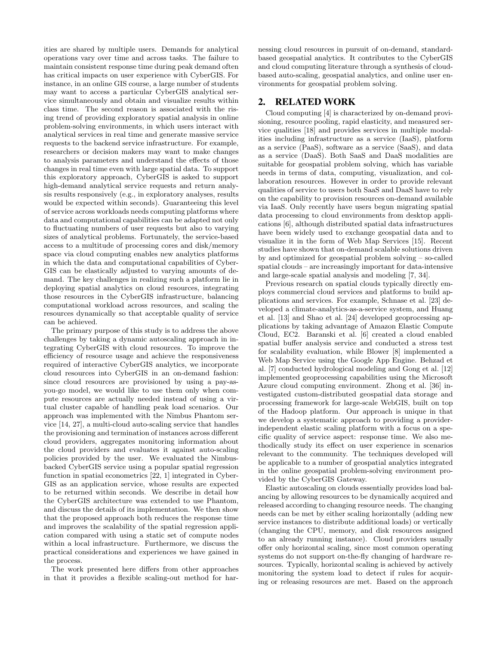ities are shared by multiple users. Demands for analytical operations vary over time and across tasks. The failure to maintain consistent response time during peak demand often has critical impacts on user experience with CyberGIS. For instance, in an online GIS course, a large number of students may want to access a particular CyberGIS analytical service simultaneously and obtain and visualize results within class time. The second reason is associated with the rising trend of providing exploratory spatial analysis in online problem-solving environments, in which users interact with analytical services in real time and generate massive service requests to the backend service infrastructure. For example, researchers or decision makers may want to make changes to analysis parameters and understand the effects of those changes in real time even with large spatial data. To support this exploratory approach, CyberGIS is asked to support high-demand analytical service requests and return analysis results responsively (e.g., in exploratory analyses, results would be expected within seconds). Guaranteeing this level of service across workloads needs computing platforms where data and computational capabilities can be adapted not only to fluctuating numbers of user requests but also to varying sizes of analytical problems. Fortunately, the service-based access to a multitude of processing cores and disk/memory space via cloud computing enables new analytics platforms in which the data and computational capabilities of Cyber-GIS can be elastically adjusted to varying amounts of demand. The key challenges in realizing such a platform lie in deploying spatial analytics on cloud resources, integrating those resources in the CyberGIS infrastructure, balancing computational workload across resources, and scaling the resources dynamically so that acceptable quality of service can be achieved.

The primary purpose of this study is to address the above challenges by taking a dynamic autoscaling approach in integrating CyberGIS with cloud resources. To improve the efficiency of resource usage and achieve the responsiveness required of interactive CyberGIS analytics, we incorporate cloud resources into CyberGIS in an on-demand fashion: since cloud resources are provisioned by using a pay-asyou-go model, we would like to use them only when compute resources are actually needed instead of using a virtual cluster capable of handling peak load scenarios. Our approach was implemented with the Nimbus Phantom service [14, 27], a multi-cloud auto-scaling service that handles the provisioning and termination of instances across different cloud providers, aggregates monitoring information about the cloud providers and evaluates it against auto-scaling policies provided by the user. We evaluated the Nimbusbacked CyberGIS service using a popular spatial regression function in spatial econometrics [22, 1] integrated in Cyber-GIS as an application service, whose results are expected to be returned within seconds. We describe in detail how the CyberGIS architecture was extended to use Phantom, and discuss the details of its implementation. We then show that the proposed approach both reduces the response time and improves the scalability of the spatial regression application compared with using a static set of compute nodes within a local infrastructure. Furthermore, we discuss the practical considerations and experiences we have gained in the process.

The work presented here differs from other approaches in that it provides a flexible scaling-out method for harnessing cloud resources in pursuit of on-demand, standardbased geospatial analytics. It contributes to the CyberGIS and cloud computing literature through a synthesis of cloudbased auto-scaling, geospatial analytics, and online user environments for geospatial problem solving.

## 2. RELATED WORK

Cloud computing [4] is characterized by on-demand provisioning, resource pooling, rapid elasticity, and measured service qualities [18] and provides services in multiple modalities including infrastructure as a service (IaaS), platform as a service (PaaS), software as a service (SaaS), and data as a service (DaaS). Both SaaS and DaaS modalities are suitable for geospatial problem solving, which has variable needs in terms of data, computing, visualization, and collaboration resources. However in order to provide relevant qualities of service to users both SaaS and DaaS have to rely on the capability to provision resources on-demand available via IaaS. Only recently have users begun migrating spatial data processing to cloud environments from desktop applications [6], although distributed spatial data infrastructures have been widely used to exchange geospatial data and to visualize it in the form of Web Map Services [15]. Recent studies have shown that on-demand scalable solutions driven by and optimized for geospatial problem solving – so-called spatial clouds – are increasingly important for data-intensive and large-scale spatial analysis and modeling [7, 34].

Previous research on spatial clouds typically directly employs commercial cloud services and platforms to build applications and services. For example, Schnase et al. [23] developed a climate-analytics-as-a-service system, and Huang et al. [13] and Shao et al. [24] developed geoprocessing applications by taking advantage of Amazon Elastic Compute Cloud, EC2. Baranski et al. [6] created a cloud enabled spatial buffer analysis service and conducted a stress test for scalability evaluation, while Blower [8] implemented a Web Map Service using the Google App Engine. Behzad et al. [7] conducted hydrological modeling and Gong et al. [12] implemented geoprocessing capabilities using the Microsoft Azure cloud computing environment. Zhong et al. [36] investigated custom-distributed geospatial data storage and processing framework for large-scale WebGIS, built on top of the Hadoop platform. Our approach is unique in that we develop a systematic approach to providing a providerindependent elastic scaling platform with a focus on a specific quality of service aspect: response time. We also methodically study its effect on user experience in scenarios relevant to the community. The techniques developed will be applicable to a number of geospatial analytics integrated in the online geospatial problem-solving environment provided by the CyberGIS Gateway.

Elastic autoscaling on clouds essentially provides load balancing by allowing resources to be dynamically acquired and released according to changing resource needs. The changing needs can be met by either scaling horizontally (adding new service instances to distribute additional loads) or vertically (changing the CPU, memory, and disk resources assigned to an already running instance). Cloud providers usually offer only horizontal scaling, since most common operating systems do not support on-the-fly changing of hardware resources. Typically, horizontal scaling is achieved by actively monitoring the system load to detect if rules for acquiring or releasing resources are met. Based on the approach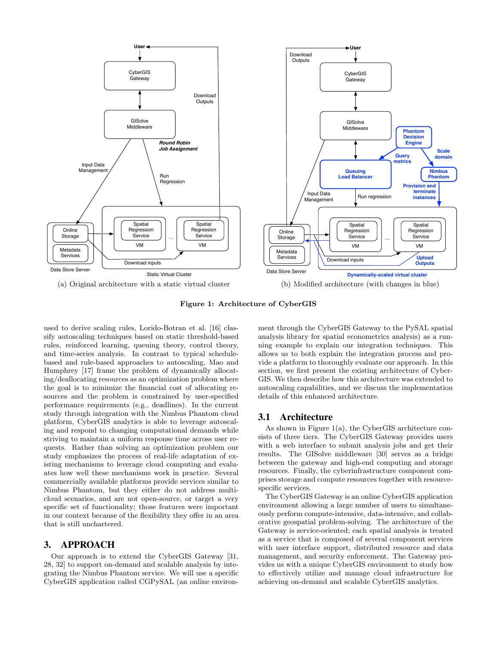

Figure 1: Architecture of CyberGIS

used to derive scaling rules, Lorido-Botran et al. [16] classify autoscaling techniques based on static threshold-based rules, reinforced learning, queuing theory, control theory, and time-series analysis. In contrast to typical schedulebased and rule-based approaches to autoscaling, Mao and Humphrey [17] frame the problem of dynamically allocating/deallocating resources as an optimization problem where the goal is to minimize the financial cost of allocating resources and the problem is constrained by user-specified performance requirements (e.g., deadlines). In the current study through integration with the Nimbus Phantom cloud platform, CyberGIS analytics is able to leverage autoscaling and respond to changing computational demands while striving to maintain a uniform response time across user requests. Rather than solving an optimization problem our study emphasizes the process of real-life adaptation of existing mechanisms to leverage cloud computing and evaluates how well these mechanisms work in practice. Several commercially available platforms provide services similar to Nimbus Phantom, but they either do not address multicloud scenarios, and are not open-source, or target a very specific set of functionality; those features were important in our context because of the flexibility they offer in an area that is still unchartered.

#### 3. APPROACH

Our approach is to extend the CyberGIS Gateway [31, 28, 32] to support on-demand and scalable analysis by integrating the Nimbus Phantom service. We will use a specific CyberGIS application called CGPySAL (an online environment through the CyberGIS Gateway to the PySAL spatial analysis library for spatial econometrics analysis) as a running example to explain our integration techniques. This allows us to both explain the integration process and provide a platform to thoroughly evaluate our approach. In this section, we first present the existing architecture of Cyber-GIS. We then describe how this architecture was extended to autoscaling capabilities, and we discuss the implementation details of this enhanced architecture.

#### 3.1 Architecture

As shown in Figure 1(a), the CyberGIS architecture consists of three tiers. The CyberGIS Gateway provides users with a web interface to submit analysis jobs and get their results. The GISolve middleware [30] serves as a bridge between the gateway and high-end computing and storage resources. Finally, the cyberinfrastructure component comprises storage and compute resources together with resourcespecific services.

The CyberGIS Gateway is an online CyberGIS application environment allowing a large number of users to simultaneously perform compute-intensive, data-intensive, and collaborative geospatial problem-solving. The architecture of the Gateway is service-oriented; each spatial analysis is treated as a service that is composed of several component services with user interface support, distributed resource and data management, and security enforcement. The Gateway provides us with a unique CyberGIS environment to study how to effectively utilize and manage cloud infrastructure for achieving on-demand and scalable CyberGIS analytics.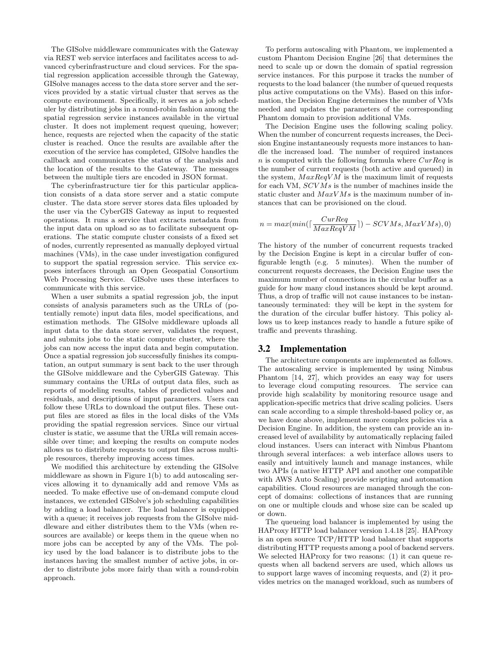The GISolve middleware communicates with the Gateway via REST web service interfaces and facilitates access to advanced cyberinfrastructure and cloud services. For the spatial regression application accessible through the Gateway, GISolve manages access to the data store server and the services provided by a static virtual cluster that serves as the compute environment. Specifically, it serves as a job scheduler by distributing jobs in a round-robin fashion among the spatial regression service instances available in the virtual cluster. It does not implement request queuing, however; hence, requests are rejected when the capacity of the static cluster is reached. Once the results are available after the execution of the service has completed, GISolve handles the callback and communicates the status of the analysis and the location of the results to the Gateway. The messages between the multiple tiers are encoded in JSON format.

The cyberinfrastructure tier for this particular application consists of a data store server and a static compute cluster. The data store server stores data files uploaded by the user via the CyberGIS Gateway as input to requested operations. It runs a service that extracts metadata from the input data on upload so as to facilitate subsequent operations. The static compute cluster consists of a fixed set of nodes, currently represented as manually deployed virtual machines (VMs), in the case under investigation configured to support the spatial regression service. This service exposes interfaces through an Open Geospatial Consortium Web Processing Service. GISolve uses these interfaces to communicate with this service.

When a user submits a spatial regression job, the input consists of analysis parameters such as the URLs of (potentially remote) input data files, model specifications, and estimation methods. The GISolve middleware uploads all input data to the data store server, validates the request, and submits jobs to the static compute cluster, where the jobs can now access the input data and begin computation. Once a spatial regression job successfully finishes its computation, an output summary is sent back to the user through the GISolve middleware and the CyberGIS Gateway. This summary contains the URLs of output data files, such as reports of modeling results, tables of predicted values and residuals, and descriptions of input parameters. Users can follow these URLs to download the output files. These output files are stored as files in the local disks of the VMs providing the spatial regression services. Since our virtual cluster is static, we assume that the URLs will remain accessible over time; and keeping the results on compute nodes allows us to distribute requests to output files across multiple resources, thereby improving access times.

We modified this architecture by extending the GISolve middleware as shown in Figure 1(b) to add autoscaling services allowing it to dynamically add and remove VMs as needed. To make effective use of on-demand compute cloud instances, we extended GISolve's job scheduling capabilities by adding a load balancer. The load balancer is equipped with a queue; it receives job requests from the GISolve middleware and either distributes them to the VMs (when resources are available) or keeps them in the queue when no more jobs can be accepted by any of the VMs. The policy used by the load balancer is to distribute jobs to the instances having the smallest number of active jobs, in order to distribute jobs more fairly than with a round-robin approach.

To perform autoscaling with Phantom, we implemented a custom Phantom Decision Engine [26] that determines the need to scale up or down the domain of spatial regression service instances. For this purpose it tracks the number of requests to the load balancer (the number of queued requests plus active computations on the VMs). Based on this information, the Decision Engine determines the number of VMs needed and updates the parameters of the corresponding Phantom domain to provision additional VMs.

The Decision Engine uses the following scaling policy. When the number of concurrent requests increases, the Decision Engine instantaneously requests more instances to handle the increased load. The number of required instances n is computed with the following formula where  $CurReg$  is the number of current requests (both active and queued) in the system,  $MaxReqVM$  is the maximum limit of requests for each VM,  $SCVMs$  is the number of machines inside the static cluster and  $MaxVMs$  is the maximum number of instances that can be provisioned on the cloud.

$$
n = max(min(\lceil \frac{CurReq}{MaxReqVM} \rceil) - SCVMs, MaxVMs)
$$
, 0)

The history of the number of concurrent requests tracked by the Decision Engine is kept in a circular buffer of configurable length (e.g. 5 minutes). When the number of concurrent requests decreases, the Decision Engine uses the maximum number of connections in the circular buffer as a guide for how many cloud instances should be kept around. Thus, a drop of traffic will not cause instances to be instantaneously terminated: they will be kept in the system for the duration of the circular buffer history. This policy allows us to keep instances ready to handle a future spike of traffic and prevents thrashing.

#### 3.2 Implementation

The architecture components are implemented as follows. The autoscaling service is implemented by using Nimbus Phantom [14, 27], which provides an easy way for users to leverage cloud computing resources. The service can provide high scalability by monitoring resource usage and application-specific metrics that drive scaling policies. Users can scale according to a simple threshold-based policy or, as we have done above, implement more complex policies via a Decision Engine. In addition, the system can provide an increased level of availability by automatically replacing failed cloud instances. Users can interact with Nimbus Phantom through several interfaces: a web interface allows users to easily and intuitively launch and manage instances, while two APIs (a native HTTP API and another one compatible with AWS Auto Scaling) provide scripting and automation capabilities. Cloud resources are managed through the concept of domains: collections of instances that are running on one or multiple clouds and whose size can be scaled up or down.

The queueing load balancer is implemented by using the HAProxy HTTP load balancer version 1.4.18 [25]. HAProxy is an open source TCP/HTTP load balancer that supports distributing HTTP requests among a pool of backend servers. We selected HAProxy for two reasons: (1) it can queue requests when all backend servers are used, which allows us to support large waves of incoming requests, and (2) it provides metrics on the managed workload, such as numbers of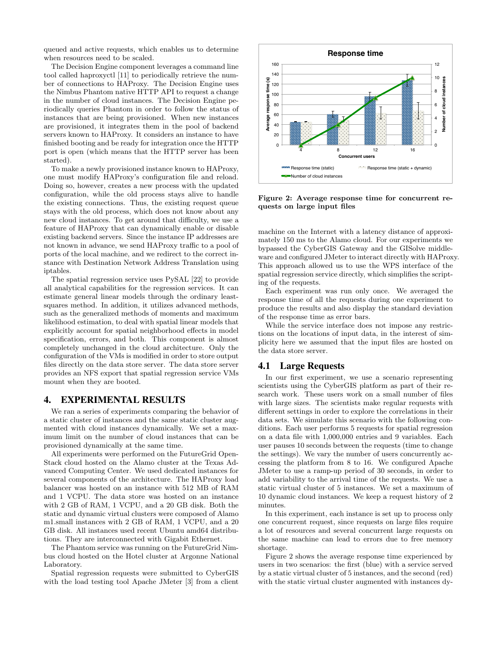queued and active requests, which enables us to determine when resources need to be scaled.

The Decision Engine component leverages a command line tool called haproxyctl [11] to periodically retrieve the number of connections to HAProxy. The Decision Engine uses the Nimbus Phantom native HTTP API to request a change in the number of cloud instances. The Decision Engine periodically queries Phantom in order to follow the status of instances that are being provisioned. When new instances are provisioned, it integrates them in the pool of backend servers known to HAProxy. It considers an instance to have finished booting and be ready for integration once the HTTP port is open (which means that the HTTP server has been started).

To make a newly provisioned instance known to HAProxy, one must modify HAProxy's configuration file and reload. Doing so, however, creates a new process with the updated configuration, while the old process stays alive to handle the existing connections. Thus, the existing request queue stays with the old process, which does not know about any new cloud instances. To get around that difficulty, we use a feature of HAProxy that can dynamically enable or disable existing backend servers. Since the instance IP addresses are not known in advance, we send HAProxy traffic to a pool of ports of the local machine, and we redirect to the correct instance with Destination Network Address Translation using iptables.

The spatial regression service uses PySAL [22] to provide all analytical capabilities for the regression services. It can estimate general linear models through the ordinary leastsquares method. In addition, it utilizes advanced methods, such as the generalized methods of moments and maximum likelihood estimation, to deal with spatial linear models that explicitly account for spatial neighborhood effects in model specification, errors, and both. This component is almost completely unchanged in the cloud architecture. Only the configuration of the VMs is modified in order to store output files directly on the data store server. The data store server provides an NFS export that spatial regression service VMs mount when they are booted.

#### 4. EXPERIMENTAL RESULTS

We ran a series of experiments comparing the behavior of a static cluster of instances and the same static cluster augmented with cloud instances dynamically. We set a maximum limit on the number of cloud instances that can be provisioned dynamically at the same time.

All experiments were performed on the FutureGrid Open-Stack cloud hosted on the Alamo cluster at the Texas Advanced Computing Center. We used dedicated instances for several components of the architecture. The HAProxy load balancer was hosted on an instance with 512 MB of RAM and 1 VCPU. The data store was hosted on an instance with 2 GB of RAM, 1 VCPU, and a 20 GB disk. Both the static and dynamic virtual clusters were composed of Alamo m1.small instances with 2 GB of RAM, 1 VCPU, and a 20 GB disk. All instances used recent Ubuntu amd64 distributions. They are interconnected with Gigabit Ethernet.

The Phantom service was running on the FutureGrid Nimbus cloud hosted on the Hotel cluster at Argonne National Laboratory.

Spatial regression requests were submitted to CyberGIS with the load testing tool Apache JMeter [3] from a client



Figure 2: Average response time for concurrent requests on large input files

machine on the Internet with a latency distance of approximately 150 ms to the Alamo cloud. For our experiments we bypassed the CyberGIS Gateway and the GISolve middleware and configured JMeter to interact directly with HAProxy. This approach allowed us to use the WPS interface of the spatial regression service directly, which simplifies the scripting of the requests.

Each experiment was run only once. We averaged the response time of all the requests during one experiment to produce the results and also display the standard deviation of the response time as error bars.

While the service interface does not impose any restrictions on the locations of input data, in the interest of simplicity here we assumed that the input files are hosted on the data store server.

#### 4.1 Large Requests

In our first experiment, we use a scenario representing scientists using the CyberGIS platform as part of their research work. These users work on a small number of files with large sizes. The scientists make regular requests with different settings in order to explore the correlations in their data sets. We simulate this scenario with the following conditions. Each user performs 5 requests for spatial regression on a data file with 1,000,000 entries and 9 variables. Each user pauses 10 seconds between the requests (time to change the settings). We vary the number of users concurrently accessing the platform from 8 to 16. We configured Apache JMeter to use a ramp-up period of 30 seconds, in order to add variability to the arrival time of the requests. We use a static virtual cluster of 5 instances. We set a maximum of 10 dynamic cloud instances. We keep a request history of 2 minutes.

In this experiment, each instance is set up to process only one concurrent request, since requests on large files require a lot of resources and several concurrent large requests on the same machine can lead to errors due to free memory shortage.

Figure 2 shows the average response time experienced by users in two scenarios: the first (blue) with a service served by a static virtual cluster of 5 instances, and the second (red) with the static virtual cluster augmented with instances dy-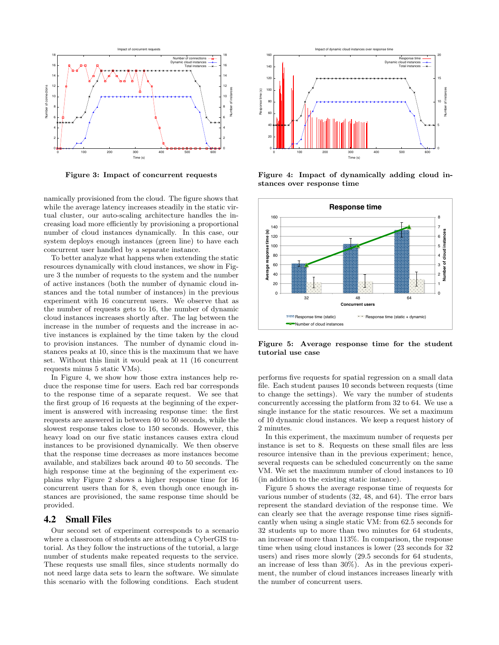

Figure 3: Impact of concurrent requests

namically provisioned from the cloud. The figure shows that while the average latency increases steadily in the static virtual cluster, our auto-scaling architecture handles the increasing load more efficiently by provisioning a proportional number of cloud instances dynamically. In this case, our system deploys enough instances (green line) to have each concurrent user handled by a separate instance.

To better analyze what happens when extending the static resources dynamically with cloud instances, we show in Figure 3 the number of requests to the system and the number of active instances (both the number of dynamic cloud instances and the total number of instances) in the previous experiment with 16 concurrent users. We observe that as the number of requests gets to 16, the number of dynamic cloud instances increases shortly after. The lag between the increase in the number of requests and the increase in active instances is explained by the time taken by the cloud to provision instances. The number of dynamic cloud instances peaks at 10, since this is the maximum that we have set. Without this limit it would peak at 11 (16 concurrent requests minus 5 static VMs).

In Figure 4, we show how those extra instances help reduce the response time for users. Each red bar corresponds to the response time of a separate request. We see that the first group of 16 requests at the beginning of the experiment is answered with increasing response time: the first requests are answered in between 40 to 50 seconds, while the slowest response takes close to 150 seconds. However, this heavy load on our five static instances causes extra cloud instances to be provisioned dynamically. We then observe that the response time decreases as more instances become available, and stabilizes back around 40 to 50 seconds. The high response time at the beginning of the experiment explains why Figure 2 shows a higher response time for 16 concurrent users than for 8, even though once enough instances are provisioned, the same response time should be provided.

# 4.2 Small Files

Our second set of experiment corresponds to a scenario where a classroom of students are attending a CyberGIS tutorial. As they follow the instructions of the tutorial, a large number of students make repeated requests to the service. These requests use small files, since students normally do not need large data sets to learn the software. We simulate this scenario with the following conditions. Each student



Figure 4: Impact of dynamically adding cloud instances over response time



Figure 5: Average response time for the student tutorial use case

performs five requests for spatial regression on a small data file. Each student pauses 10 seconds between requests (time to change the settings). We vary the number of students concurrently accessing the platform from 32 to 64. We use a single instance for the static resources. We set a maximum of 10 dynamic cloud instances. We keep a request history of 2 minutes.

In this experiment, the maximum number of requests per instance is set to 8. Requests on these small files are less resource intensive than in the previous experiment; hence, several requests can be scheduled concurrently on the same VM. We set the maximum number of cloud instances to 10 (in addition to the existing static instance).

Figure 5 shows the average response time of requests for various number of students (32, 48, and 64). The error bars represent the standard deviation of the response time. We can clearly see that the average response time rises significantly when using a single static VM: from 62.5 seconds for 32 students up to more than two minutes for 64 students, an increase of more than 113%. In comparison, the response time when using cloud instances is lower (23 seconds for 32 users) and rises more slowly (29.5 seconds for 64 students, an increase of less than 30%). As in the previous experiment, the number of cloud instances increases linearly with the number of concurrent users.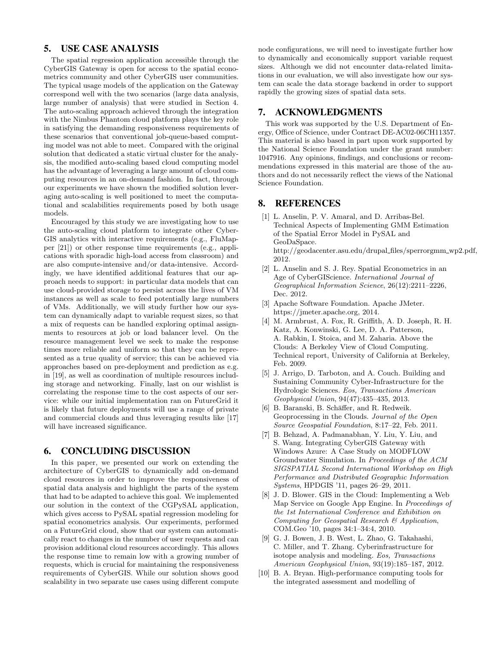# 5. USE CASE ANALYSIS

The spatial regression application accessible through the CyberGIS Gateway is open for access to the spatial econometrics community and other CyberGIS user communities. The typical usage models of the application on the Gateway correspond well with the two scenarios (large data analysis, large number of analysis) that were studied in Section 4. The auto-scaling approach achieved through the integration with the Nimbus Phantom cloud platform plays the key role in satisfying the demanding responsiveness requirements of these scenarios that conventional job-queue-based computing model was not able to meet. Compared with the original solution that dedicated a static virtual cluster for the analysis, the modified auto-scaling based cloud computing model has the advantage of leveraging a large amount of cloud computing resources in an on-demand fashion. In fact, through our experiments we have shown the modified solution leveraging auto-scaling is well positioned to meet the computational and scalabilities requirements posed by both usage models.

Encouraged by this study we are investigating how to use the auto-scaling cloud platform to integrate other Cyber-GIS analytics with interactive requirements (e.g., FluMapper [21]) or other response time requirements (e.g., applications with sporadic high-load access from classroom) and are also compute-intensive and/or data-intensive. Accordingly, we have identified additional features that our approach needs to support: in particular data models that can use cloud-provided storage to persist across the lives of VM instances as well as scale to feed potentially large numbers of VMs. Additionally, we will study further how our system can dynamically adapt to variable request sizes, so that a mix of requests can be handled exploring optimal assignments to resources at job or load balancer level. On the resource management level we seek to make the response times more reliable and uniform so that they can be represented as a true quality of service; this can be achieved via approaches based on pre-deployment and prediction as e.g. in [19], as well as coordination of multiple resources including storage and networking. Finally, last on our wishlist is correlating the response time to the cost aspects of our service: while our initial implementation ran on FutureGrid it is likely that future deployments will use a range of private and commercial clouds and thus leveraging results like [17] will have increased significance.

#### 6. CONCLUDING DISCUSSION

In this paper, we presented our work on extending the architecture of CyberGIS to dynamically add on-demand cloud resources in order to improve the responsiveness of spatial data analysis and highlight the parts of the system that had to be adapted to achieve this goal. We implemented our solution in the context of the CGPySAL application, which gives access to PySAL spatial regression modeling for spatial econometrics analysis. Our experiments, performed on a FutureGrid cloud, show that our system can automatically react to changes in the number of user requests and can provision additional cloud resources accordingly. This allows the response time to remain low with a growing number of requests, which is crucial for maintaining the responsiveness requirements of CyberGIS. While our solution shows good scalability in two separate use cases using different compute

node configurations, we will need to investigate further how to dynamically and economically support variable request sizes. Although we did not encounter data-related limitations in our evaluation, we will also investigate how our system can scale the data storage backend in order to support rapidly the growing sizes of spatial data sets.

# 7. ACKNOWLEDGMENTS

This work was supported by the U.S. Department of Energy, Office of Science, under Contract DE-AC02-06CH11357. This material is also based in part upon work supported by the National Science Foundation under the grant number: 1047916. Any opinions, findings, and conclusions or recommendations expressed in this material are those of the authors and do not necessarily reflect the views of the National Science Foundation.

## 8. REFERENCES

- [1] L. Anselin, P. V. Amaral, and D. Arribas-Bel. Technical Aspects of Implementing GMM Estimation of the Spatial Error Model in PySAL and GeoDaSpace. http://geodacenter.asu.edu/drupal files/sperrorgmm wp2.pdf, 2012.
- [2] L. Anselin and S. J. Rey. Spatial Econometrics in an Age of CyberGIScience. International Journal of Geographical Information Science, 26(12):2211–2226, Dec. 2012.
- [3] Apache Software Foundation. Apache JMeter. https://jmeter.apache.org, 2014.
- [4] M. Armbrust, A. Fox, R. Griffith, A. D. Joseph, R. H. Katz, A. Konwinski, G. Lee, D. A. Patterson, A. Rabkin, I. Stoica, and M. Zaharia. Above the Clouds: A Berkeley View of Cloud Computing. Technical report, University of California at Berkeley, Feb. 2009.
- [5] J. Arrigo, D. Tarboton, and A. Couch. Building and Sustaining Community Cyber-Infrastructure for the Hydrologic Sciences. Eos, Transactions American Geophysical Union, 94(47):435–435, 2013.
- [6] B. Baranski, B. Schäffer, and R. Redweik. Geoprocessing in the Clouds. Journal of the Open Source Geospatial Foundation, 8:17–22, Feb. 2011.
- [7] B. Behzad, A. Padmanabhan, Y. Liu, Y. Liu, and S. Wang. Integrating CyberGIS Gateway with Windows Azure: A Case Study on MODFLOW Groundwater Simulation. In Proceedings of the ACM SIGSPATIAL Second International Workshop on High Performance and Distributed Geographic Information Systems, HPDGIS '11, pages 26–29, 2011.
- [8] J. D. Blower. GIS in the Cloud: Implementing a Web Map Service on Google App Engine. In Proceedings of the 1st International Conference and Exhibition on Computing for Geospatial Research & Application, COM.Geo '10, pages 34:1–34:4, 2010.
- [9] G. J. Bowen, J. B. West, L. Zhao, G. Takahashi, C. Miller, and T. Zhang. Cyberinfrastructure for isotope analysis and modeling. Eos, Transactions American Geophysical Union, 93(19):185–187, 2012.
- [10] B. A. Bryan. High-performance computing tools for the integrated assessment and modelling of